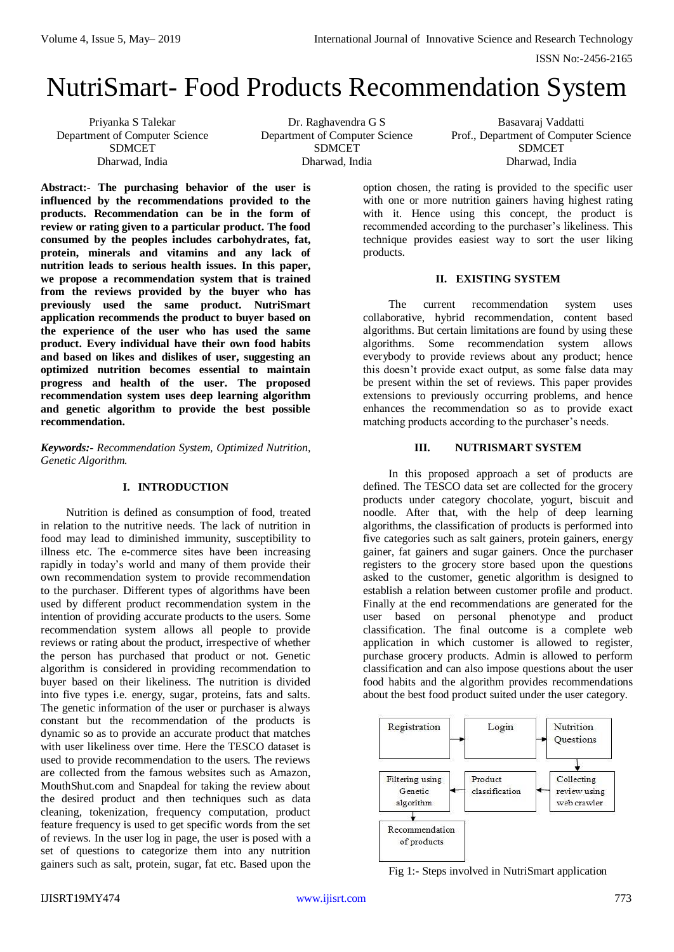# NutriSmart- Food Products Recommendation System

Priyanka S Talekar Department of Computer Science SDMCET Dharwad, India

Dr. Raghavendra G S Department of Computer Science SDMCET Dharwad, India

Basavaraj Vaddatti Prof., Department of Computer Science SDMCET Dharwad, India

**Abstract:- The purchasing behavior of the user is influenced by the recommendations provided to the products. Recommendation can be in the form of review or rating given to a particular product. The food consumed by the peoples includes carbohydrates, fat, protein, minerals and vitamins and any lack of nutrition leads to serious health issues. In this paper, we propose a recommendation system that is trained from the reviews provided by the buyer who has previously used the same product. NutriSmart application recommends the product to buyer based on the experience of the user who has used the same product. Every individual have their own food habits and based on likes and dislikes of user, suggesting an optimized nutrition becomes essential to maintain progress and health of the user. The proposed recommendation system uses deep learning algorithm and genetic algorithm to provide the best possible recommendation.** 

*Keywords:- Recommendation System, Optimized Nutrition, Genetic Algorithm.*

# **I. INTRODUCTION**

Nutrition is defined as consumption of food, treated in relation to the nutritive needs. The lack of nutrition in food may lead to diminished immunity, susceptibility to illness etc. The e-commerce sites have been increasing rapidly in today's world and many of them provide their own recommendation system to provide recommendation to the purchaser. Different types of algorithms have been used by different product recommendation system in the intention of providing accurate products to the users. Some recommendation system allows all people to provide reviews or rating about the product, irrespective of whether the person has purchased that product or not. Genetic algorithm is considered in providing recommendation to buyer based on their likeliness. The nutrition is divided into five types i.e. energy, sugar, proteins, fats and salts. The genetic information of the user or purchaser is always constant but the recommendation of the products is dynamic so as to provide an accurate product that matches with user likeliness over time. Here the TESCO dataset is used to provide recommendation to the users. The reviews are collected from the famous websites such as Amazon, MouthShut.com and Snapdeal for taking the review about the desired product and then techniques such as data cleaning, tokenization, frequency computation, product feature frequency is used to get specific words from the set of reviews. In the user log in page, the user is posed with a set of questions to categorize them into any nutrition gainers such as salt, protein, sugar, fat etc. Based upon the

option chosen, the rating is provided to the specific user with one or more nutrition gainers having highest rating with it. Hence using this concept, the product is recommended according to the purchaser's likeliness. This technique provides easiest way to sort the user liking products.

# **II. EXISTING SYSTEM**

The current recommendation system uses collaborative, hybrid recommendation, content based algorithms. But certain limitations are found by using these algorithms. Some recommendation system allows everybody to provide reviews about any product; hence this doesn't provide exact output, as some false data may be present within the set of reviews. This paper provides extensions to previously occurring problems, and hence enhances the recommendation so as to provide exact matching products according to the purchaser's needs.

# **III. NUTRISMART SYSTEM**

In this proposed approach a set of products are defined. The TESCO data set are collected for the grocery products under category chocolate, yogurt, biscuit and noodle. After that, with the help of deep learning algorithms, the classification of products is performed into five categories such as salt gainers, protein gainers, energy gainer, fat gainers and sugar gainers. Once the purchaser registers to the grocery store based upon the questions asked to the customer, genetic algorithm is designed to establish a relation between customer profile and product. Finally at the end recommendations are generated for the user based on personal phenotype and product classification. The final outcome is a complete web application in which customer is allowed to register, purchase grocery products. Admin is allowed to perform classification and can also impose questions about the user food habits and the algorithm provides recommendations about the best food product suited under the user category.



Fig 1:- Steps involved in NutriSmart application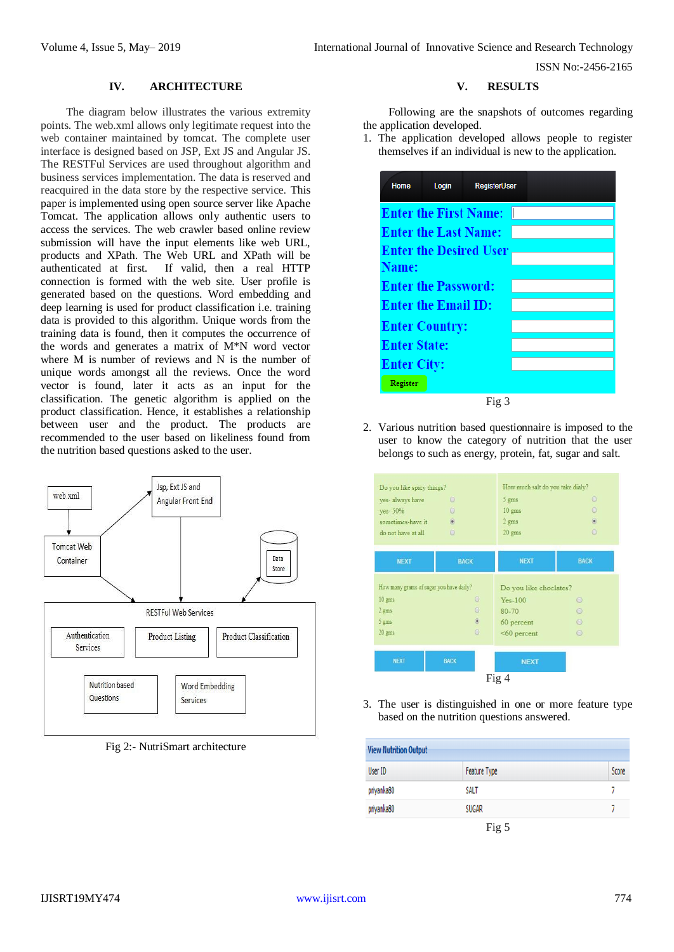ISSN No:-2456-2165

#### **IV. ARCHITECTURE**

The diagram below illustrates the various extremity points. The web.xml allows only legitimate request into the web container maintained by tomcat. The complete user interface is designed based on JSP, Ext JS and Angular JS. The RESTFul Services are used throughout algorithm and business services implementation. The data is reserved and reacquired in the data store by the respective service. This paper is implemented using open source server like Apache Tomcat. The application allows only authentic users to access the services. The web crawler based online review submission will have the input elements like web URL, products and XPath. The Web URL and XPath will be authenticated at first. If valid, then a real HTTP connection is formed with the web site. User profile is generated based on the questions. Word embedding and deep learning is used for product classification i.e. training data is provided to this algorithm. Unique words from the training data is found, then it computes the occurrence of the words and generates a matrix of M\*N word vector where M is number of reviews and N is the number of unique words amongst all the reviews. Once the word vector is found, later it acts as an input for the classification. The genetic algorithm is applied on the product classification. Hence, it establishes a relationship between user and the product. The products are recommended to the user based on likeliness found from the nutrition based questions asked to the user.



Fig 2:- NutriSmart architecture

#### **V. RESULTS**

Following are the snapshots of outcomes regarding the application developed.

1. The application developed allows people to register themselves if an individual is new to the application.

| Home                          | Login | <b>RegisterUser</b> |  |  |
|-------------------------------|-------|---------------------|--|--|
| <b>Enter the First Name:</b>  |       |                     |  |  |
| <b>Enter the Last Name:</b>   |       |                     |  |  |
| <b>Enter the Desired User</b> |       |                     |  |  |
| <b>Name:</b>                  |       |                     |  |  |
| <b>Enter the Password:</b>    |       |                     |  |  |
| <b>Enter the Email ID:</b>    |       |                     |  |  |
| <b>Enter Country:</b>         |       |                     |  |  |
| <b>Enter State:</b>           |       |                     |  |  |
| <b>Enter City:</b>            |       |                     |  |  |
| Register                      |       |                     |  |  |
| Fig 3                         |       |                     |  |  |

2. Various nutrition based questionnaire is imposed to the user to know the category of nutrition that the user belongs to such as energy, protein, fat, sugar and salt.



3. The user is distinguished in one or more feature type based on the nutrition questions answered.

| <b>View Nutrition Output</b> |                     |       |  |
|------------------------------|---------------------|-------|--|
| User ID                      | <b>Feature Type</b> | Score |  |
| priyanka80                   | <b>SALT</b>         |       |  |
| priyanka80                   | <b>SUGAR</b>        |       |  |
|                              | Fig $5$             |       |  |